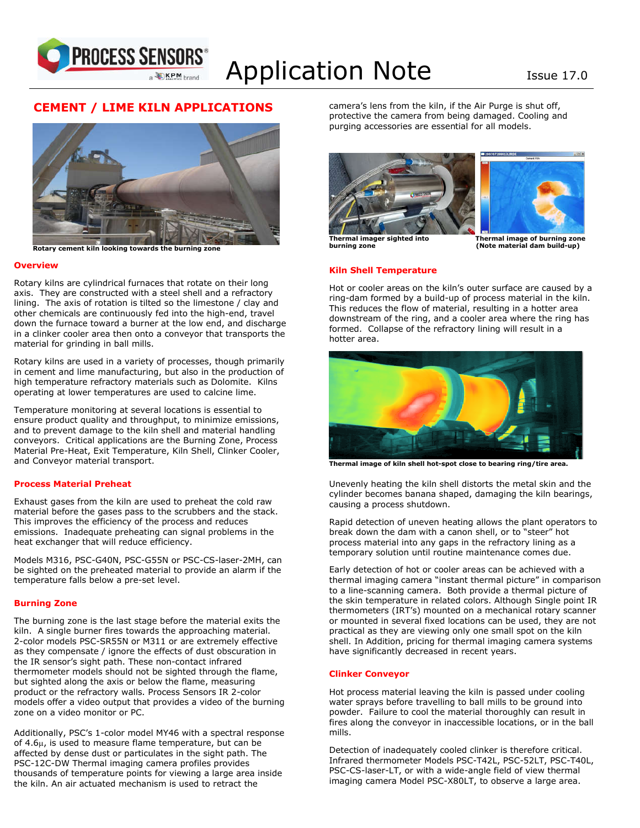

# Application Note Issue 17.0

# ٦  **CEMENT / LIME KILN APPLICATIONS**



**Rotary cement kiln looking towards the burning zone**

#### **Overview**

Rotary kilns are cylindrical furnaces that rotate on their long axis. They are constructed with a steel shell and a refractory lining. The axis of rotation is tilted so the limestone / clay and other chemicals are continuously fed into the high-end, travel down the furnace toward a burner at the low end, and discharge in a clinker cooler area then onto a conveyor that transports the material for grinding in ball mills.

Rotary kilns are used in a variety of processes, though primarily in cement and lime manufacturing, but also in the production of high temperature refractory materials such as Dolomite. Kilns operating at lower temperatures are used to calcine lime.

Temperature monitoring at several locations is essential to ensure product quality and throughput, to minimize emissions, and to prevent damage to the kiln shell and material handling conveyors. Critical applications are the Burning Zone, Process Material Pre-Heat, Exit Temperature, Kiln Shell, Clinker Cooler, and Conveyor material transport.

#### **Process Material Preheat**

Exhaust gases from the kiln are used to preheat the cold raw material before the gases pass to the scrubbers and the stack. This improves the efficiency of the process and reduces emissions. Inadequate preheating can signal problems in the heat exchanger that will reduce efficiency.

Models M316, PSC-G40N, PSC-G55N or PSC-CS-laser-2MH, can be sighted on the preheated material to provide an alarm if the temperature falls below a pre-set level.

#### **Burning Zone**

The burning zone is the last stage before the material exits the kiln. A single burner fires towards the approaching material. 2-color models PSC-SR55N or M311 or are extremely effective as they compensate / ignore the effects of dust obscuration in the IR sensor's sight path. These non-contact infrared thermometer models should not be sighted through the flame, but sighted along the axis or below the flame, measuring product or the refractory walls. Process Sensors IR 2-color models offer a video output that provides a video of the burning zone on a video monitor or PC.

Additionally, PSC's 1-color model MY46 with a spectral response of 4.6 $\mu$ , is used to measure flame temperature, but can be affected by dense dust or particulates in the sight path. The PSC-12C-DW Thermal imaging camera profiles provides thousands of temperature points for viewing a large area inside the kiln. An air actuated mechanism is used to retract the

camera's lens from the kiln, if the Air Purge is shut off, protective the camera from being damaged. Cooling and purging accessories are essential for all models.





**burning zone** (Note material dam build-up)

**Thermal imager sighted into Thermal image of burning zone** 

## **Kiln Shell Temperature**

Hot or cooler areas on the kiln's outer surface are caused by a ring-dam formed by a build-up of process material in the kiln. This reduces the flow of material, resulting in a hotter area downstream of the ring, and a cooler area where the ring has formed. Collapse of the refractory lining will result in a hotter area.



**Thermal image of kiln shell hot-spot close to bearing ring/tire area.**

Unevenly heating the kiln shell distorts the metal skin and the cylinder becomes banana shaped, damaging the kiln bearings, causing a process shutdown.

Rapid detection of uneven heating allows the plant operators to break down the dam with a canon shell, or to "steer" hot process material into any gaps in the refractory lining as a temporary solution until routine maintenance comes due.

Early detection of hot or cooler areas can be achieved with a thermal imaging camera "instant thermal picture" in comparison to a line-scanning camera. Both provide a thermal picture of the skin temperature in related colors. Although Single point IR thermometers (IRT's) mounted on a mechanical rotary scanner or mounted in several fixed locations can be used, they are not practical as they are viewing only one small spot on the kiln shell. In Addition, pricing for thermal imaging camera systems have significantly decreased in recent years.

#### **Clinker Conveyor**

Hot process material leaving the kiln is passed under cooling water sprays before travelling to ball mills to be ground into powder. Failure to cool the material thoroughly can result in fires along the conveyor in inaccessible locations, or in the ball mills.

Detection of inadequately cooled clinker is therefore critical. Infrared thermometer Models PSC-T42L, PSC-52LT, PSC-T40L, PSC-CS-laser-LT, or with a wide-angle field of view thermal imaging camera Model PSC-X80LT, to observe a large area.